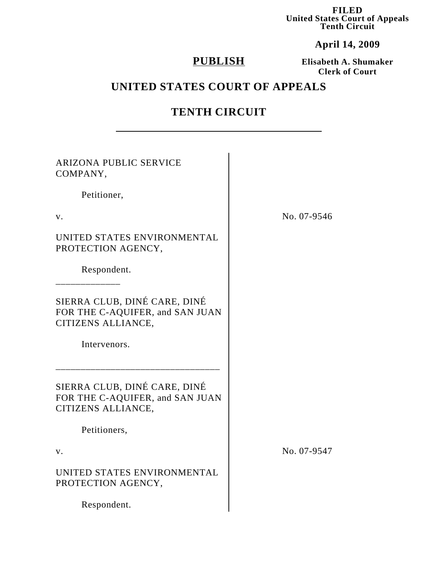**FILED United States Court of Appeals Tenth Circuit**

**April 14, 2009**

# **PUBLISH**

**Elisabeth A. Shumaker Clerk of Court**

# **UNITED STATES COURT OF APPEALS**

## **TENTH CIRCUIT**

| <b>ARIZONA PUBLIC SERVICE</b><br>COMPANY,                                             |             |
|---------------------------------------------------------------------------------------|-------------|
| Petitioner,                                                                           |             |
| V.                                                                                    | No. 07-9546 |
| UNITED STATES ENVIRONMENTAL<br>PROTECTION AGENCY,                                     |             |
| Respondent.                                                                           |             |
| SIERRA CLUB, DINÉ CARE, DINÉ<br>FOR THE C-AQUIFER, and SAN JUAN<br>CITIZENS ALLIANCE, |             |
| Intervenors.                                                                          |             |
| SIERRA CLUB, DINÉ CARE, DINÉ<br>FOR THE C-AQUIFER, and SAN JUAN<br>CITIZENS ALLIANCE, |             |
| Petitioners,                                                                          |             |
| V.                                                                                    | No. 07-9547 |
| UNITED STATES ENVIRONMENTAL<br>PROTECTION AGENCY,                                     |             |
| Respondent.                                                                           |             |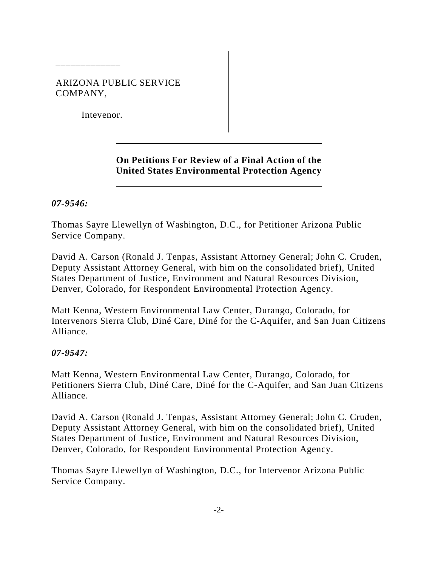### ARIZONA PUBLIC SERVICE COMPANY,

Intevenor.

\_\_\_\_\_\_\_\_\_\_\_\_\_

## **On Petitions For Review of a Final Action of the United States Environmental Protection Agency**

### *07-9546:*

Thomas Sayre Llewellyn of Washington, D.C., for Petitioner Arizona Public Service Company.

David A. Carson (Ronald J. Tenpas, Assistant Attorney General; John C. Cruden, Deputy Assistant Attorney General, with him on the consolidated brief), United States Department of Justice, Environment and Natural Resources Division, Denver, Colorado, for Respondent Environmental Protection Agency.

Matt Kenna, Western Environmental Law Center, Durango, Colorado, for Intervenors Sierra Club, Diné Care, Diné for the C-Aquifer, and San Juan Citizens Alliance.

### *07-9547:*

Matt Kenna, Western Environmental Law Center, Durango, Colorado, for Petitioners Sierra Club, Diné Care, Diné for the C-Aquifer, and San Juan Citizens Alliance.

David A. Carson (Ronald J. Tenpas, Assistant Attorney General; John C. Cruden, Deputy Assistant Attorney General, with him on the consolidated brief), United States Department of Justice, Environment and Natural Resources Division, Denver, Colorado, for Respondent Environmental Protection Agency.

Thomas Sayre Llewellyn of Washington, D.C., for Intervenor Arizona Public Service Company.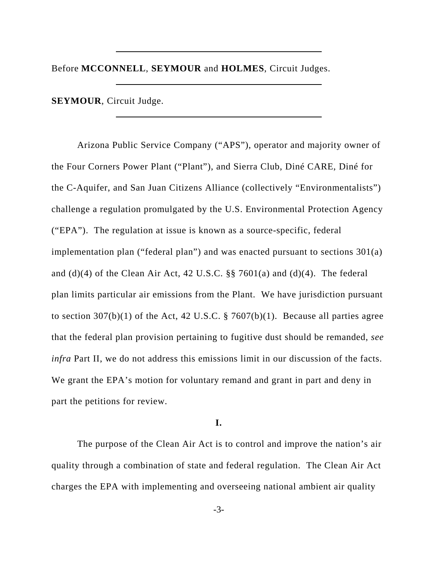Before **MCCONNELL**, **SEYMOUR** and **HOLMES**, Circuit Judges.

**SEYMOUR**, Circuit Judge.

Arizona Public Service Company ("APS"), operator and majority owner of the Four Corners Power Plant ("Plant"), and Sierra Club, Diné CARE, Diné for the C-Aquifer, and San Juan Citizens Alliance (collectively "Environmentalists") challenge a regulation promulgated by the U.S. Environmental Protection Agency ("EPA"). The regulation at issue is known as a source-specific, federal implementation plan ("federal plan") and was enacted pursuant to sections 301(a) and (d)(4) of the Clean Air Act, 42 U.S.C.  $\S$  7601(a) and (d)(4). The federal plan limits particular air emissions from the Plant. We have jurisdiction pursuant to section  $307(b)(1)$  of the Act, 42 U.S.C. § 7607(b)(1). Because all parties agree that the federal plan provision pertaining to fugitive dust should be remanded, *see infra* Part II, we do not address this emissions limit in our discussion of the facts. We grant the EPA's motion for voluntary remand and grant in part and deny in part the petitions for review.

#### **I.**

The purpose of the Clean Air Act is to control and improve the nation's air quality through a combination of state and federal regulation. The Clean Air Act charges the EPA with implementing and overseeing national ambient air quality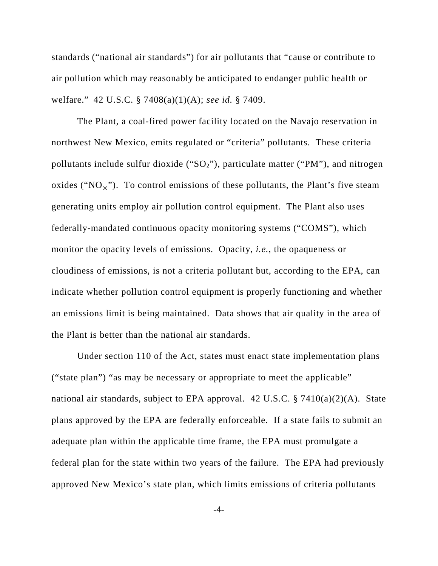standards ("national air standards") for air pollutants that "cause or contribute to air pollution which may reasonably be anticipated to endanger public health or welfare." 42 U.S.C. § 7408(a)(1)(A); *see id.* § 7409.

The Plant, a coal-fired power facility located on the Navajo reservation in northwest New Mexico, emits regulated or "criteria" pollutants. These criteria pollutants include sulfur dioxide ("SO<sub>2</sub>"), particulate matter ("PM"), and nitrogen oxides (" $NO<sub>v</sub>$ "). To control emissions of these pollutants, the Plant's five steam generating units employ air pollution control equipment. The Plant also uses federally-mandated continuous opacity monitoring systems ("COMS"), which monitor the opacity levels of emissions. Opacity, *i.e.*, the opaqueness or cloudiness of emissions, is not a criteria pollutant but, according to the EPA, can indicate whether pollution control equipment is properly functioning and whether an emissions limit is being maintained. Data shows that air quality in the area of the Plant is better than the national air standards.

Under section 110 of the Act, states must enact state implementation plans ("state plan") "as may be necessary or appropriate to meet the applicable" national air standards, subject to EPA approval. 42 U.S.C. § 7410(a)(2)(A). State plans approved by the EPA are federally enforceable. If a state fails to submit an adequate plan within the applicable time frame, the EPA must promulgate a federal plan for the state within two years of the failure. The EPA had previously approved New Mexico's state plan, which limits emissions of criteria pollutants

-4-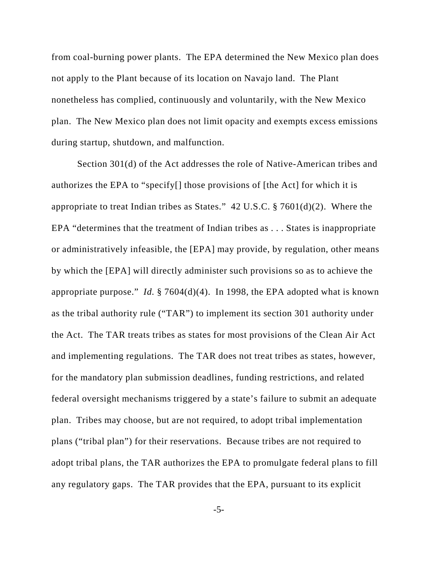from coal-burning power plants. The EPA determined the New Mexico plan does not apply to the Plant because of its location on Navajo land. The Plant nonetheless has complied, continuously and voluntarily, with the New Mexico plan. The New Mexico plan does not limit opacity and exempts excess emissions during startup, shutdown, and malfunction.

Section 301(d) of the Act addresses the role of Native-American tribes and authorizes the EPA to "specify[] those provisions of [the Act] for which it is appropriate to treat Indian tribes as States." 42 U.S.C. § 7601(d)(2). Where the EPA "determines that the treatment of Indian tribes as . . . States is inappropriate or administratively infeasible, the [EPA] may provide, by regulation, other means by which the [EPA] will directly administer such provisions so as to achieve the appropriate purpose." *Id.* § 7604(d)(4). In 1998, the EPA adopted what is known as the tribal authority rule ("TAR") to implement its section 301 authority under the Act. The TAR treats tribes as states for most provisions of the Clean Air Act and implementing regulations. The TAR does not treat tribes as states, however, for the mandatory plan submission deadlines, funding restrictions, and related federal oversight mechanisms triggered by a state's failure to submit an adequate plan. Tribes may choose, but are not required, to adopt tribal implementation plans ("tribal plan") for their reservations. Because tribes are not required to adopt tribal plans, the TAR authorizes the EPA to promulgate federal plans to fill any regulatory gaps. The TAR provides that the EPA, pursuant to its explicit

-5-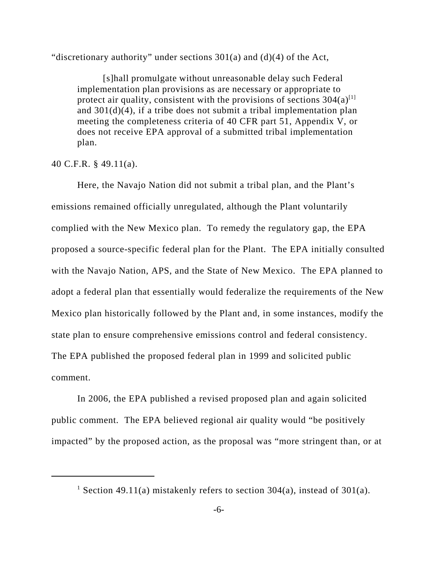"discretionary authority" under sections  $301(a)$  and  $(d)(4)$  of the Act,

[s]hall promulgate without unreasonable delay such Federal implementation plan provisions as are necessary or appropriate to protect air quality, consistent with the provisions of sections  $304(a)^{[1]}$ and  $301(d)(4)$ , if a tribe does not submit a tribal implementation plan meeting the completeness criteria of 40 CFR part 51, Appendix V, or does not receive EPA approval of a submitted tribal implementation plan.

#### 40 C.F.R. § 49.11(a).

Here, the Navajo Nation did not submit a tribal plan, and the Plant's emissions remained officially unregulated, although the Plant voluntarily complied with the New Mexico plan. To remedy the regulatory gap, the EPA proposed a source-specific federal plan for the Plant. The EPA initially consulted with the Navajo Nation, APS, and the State of New Mexico. The EPA planned to adopt a federal plan that essentially would federalize the requirements of the New Mexico plan historically followed by the Plant and, in some instances, modify the state plan to ensure comprehensive emissions control and federal consistency. The EPA published the proposed federal plan in 1999 and solicited public comment.

In 2006, the EPA published a revised proposed plan and again solicited public comment. The EPA believed regional air quality would "be positively impacted" by the proposed action, as the proposal was "more stringent than, or at

<sup>&</sup>lt;sup>1</sup> Section 49.11(a) mistakenly refers to section 304(a), instead of 301(a).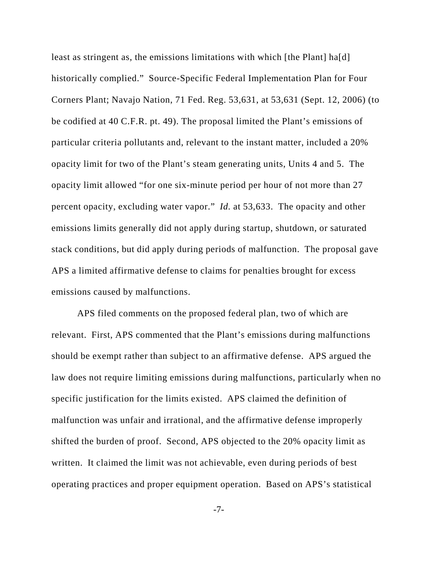least as stringent as, the emissions limitations with which [the Plant] ha[d] historically complied." Source-Specific Federal Implementation Plan for Four Corners Plant; Navajo Nation, 71 Fed. Reg. 53,631, at 53,631 (Sept. 12, 2006) (to be codified at 40 C.F.R. pt. 49). The proposal limited the Plant's emissions of particular criteria pollutants and, relevant to the instant matter, included a 20% opacity limit for two of the Plant's steam generating units, Units 4 and 5. The opacity limit allowed "for one six-minute period per hour of not more than 27 percent opacity, excluding water vapor." *Id.* at 53,633. The opacity and other emissions limits generally did not apply during startup, shutdown, or saturated stack conditions, but did apply during periods of malfunction. The proposal gave APS a limited affirmative defense to claims for penalties brought for excess emissions caused by malfunctions.

APS filed comments on the proposed federal plan, two of which are relevant. First, APS commented that the Plant's emissions during malfunctions should be exempt rather than subject to an affirmative defense. APS argued the law does not require limiting emissions during malfunctions, particularly when no specific justification for the limits existed. APS claimed the definition of malfunction was unfair and irrational, and the affirmative defense improperly shifted the burden of proof. Second, APS objected to the 20% opacity limit as written. It claimed the limit was not achievable, even during periods of best operating practices and proper equipment operation. Based on APS's statistical

-7-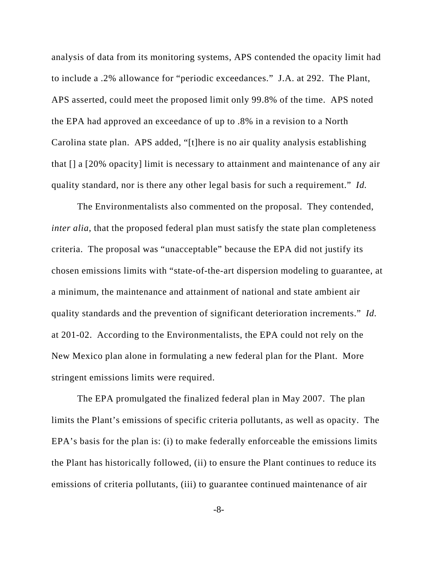analysis of data from its monitoring systems, APS contended the opacity limit had to include a .2% allowance for "periodic exceedances." J.A. at 292. The Plant, APS asserted, could meet the proposed limit only 99.8% of the time. APS noted the EPA had approved an exceedance of up to .8% in a revision to a North Carolina state plan. APS added, "[t]here is no air quality analysis establishing that [] a [20% opacity] limit is necessary to attainment and maintenance of any air quality standard, nor is there any other legal basis for such a requirement." *Id.*

The Environmentalists also commented on the proposal. They contended, *inter alia*, that the proposed federal plan must satisfy the state plan completeness criteria. The proposal was "unacceptable" because the EPA did not justify its chosen emissions limits with "state-of-the-art dispersion modeling to guarantee, at a minimum, the maintenance and attainment of national and state ambient air quality standards and the prevention of significant deterioration increments." *Id.* at 201-02. According to the Environmentalists, the EPA could not rely on the New Mexico plan alone in formulating a new federal plan for the Plant. More stringent emissions limits were required.

The EPA promulgated the finalized federal plan in May 2007. The plan limits the Plant's emissions of specific criteria pollutants, as well as opacity. The EPA's basis for the plan is: (i) to make federally enforceable the emissions limits the Plant has historically followed, (ii) to ensure the Plant continues to reduce its emissions of criteria pollutants, (iii) to guarantee continued maintenance of air

-8-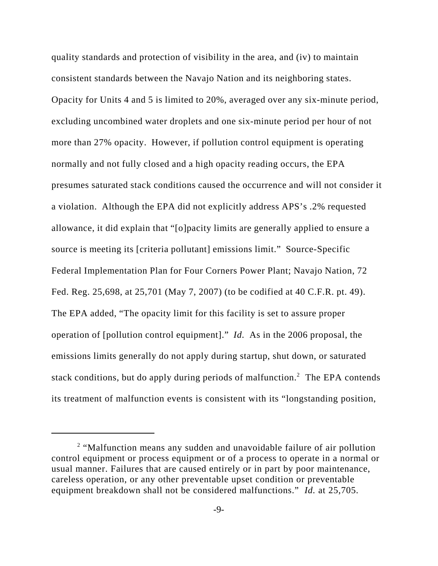quality standards and protection of visibility in the area, and (iv) to maintain consistent standards between the Navajo Nation and its neighboring states. Opacity for Units 4 and 5 is limited to 20%, averaged over any six-minute period, excluding uncombined water droplets and one six-minute period per hour of not more than 27% opacity. However, if pollution control equipment is operating normally and not fully closed and a high opacity reading occurs, the EPA presumes saturated stack conditions caused the occurrence and will not consider it a violation. Although the EPA did not explicitly address APS's .2% requested allowance, it did explain that "[o]pacity limits are generally applied to ensure a source is meeting its [criteria pollutant] emissions limit." Source-Specific Federal Implementation Plan for Four Corners Power Plant; Navajo Nation, 72 Fed. Reg. 25,698, at 25,701 (May 7, 2007) (to be codified at 40 C.F.R. pt. 49). The EPA added, "The opacity limit for this facility is set to assure proper operation of [pollution control equipment]." *Id.* As in the 2006 proposal, the emissions limits generally do not apply during startup, shut down, or saturated stack conditions, but do apply during periods of malfunction.<sup>2</sup> The EPA contends its treatment of malfunction events is consistent with its "longstanding position,

<sup>&</sup>lt;sup>2</sup> "Malfunction means any sudden and unavoidable failure of air pollution control equipment or process equipment or of a process to operate in a normal or usual manner. Failures that are caused entirely or in part by poor maintenance, careless operation, or any other preventable upset condition or preventable equipment breakdown shall not be considered malfunctions." *Id.* at 25,705.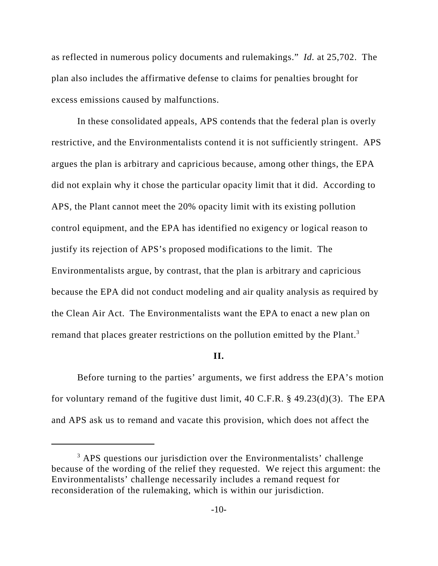as reflected in numerous policy documents and rulemakings." *Id.* at 25,702. The plan also includes the affirmative defense to claims for penalties brought for excess emissions caused by malfunctions.

In these consolidated appeals, APS contends that the federal plan is overly restrictive, and the Environmentalists contend it is not sufficiently stringent. APS argues the plan is arbitrary and capricious because, among other things, the EPA did not explain why it chose the particular opacity limit that it did. According to APS, the Plant cannot meet the 20% opacity limit with its existing pollution control equipment, and the EPA has identified no exigency or logical reason to justify its rejection of APS's proposed modifications to the limit. The Environmentalists argue, by contrast, that the plan is arbitrary and capricious because the EPA did not conduct modeling and air quality analysis as required by the Clean Air Act. The Environmentalists want the EPA to enact a new plan on remand that places greater restrictions on the pollution emitted by the Plant.<sup>3</sup>

#### **II.**

Before turning to the parties' arguments, we first address the EPA's motion for voluntary remand of the fugitive dust limit, 40 C.F.R. § 49.23(d)(3). The EPA and APS ask us to remand and vacate this provision, which does not affect the

<sup>&</sup>lt;sup>3</sup> APS questions our jurisdiction over the Environmentalists' challenge because of the wording of the relief they requested. We reject this argument: the Environmentalists' challenge necessarily includes a remand request for reconsideration of the rulemaking, which is within our jurisdiction.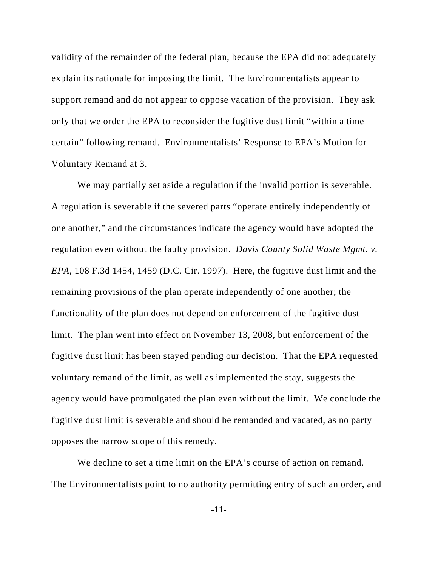validity of the remainder of the federal plan, because the EPA did not adequately explain its rationale for imposing the limit. The Environmentalists appear to support remand and do not appear to oppose vacation of the provision. They ask only that we order the EPA to reconsider the fugitive dust limit "within a time certain" following remand. Environmentalists' Response to EPA's Motion for Voluntary Remand at 3.

We may partially set aside a regulation if the invalid portion is severable. A regulation is severable if the severed parts "operate entirely independently of one another," and the circumstances indicate the agency would have adopted the regulation even without the faulty provision. *Davis County Solid Waste Mgmt. v. EPA*, 108 F.3d 1454, 1459 (D.C. Cir. 1997). Here, the fugitive dust limit and the remaining provisions of the plan operate independently of one another; the functionality of the plan does not depend on enforcement of the fugitive dust limit. The plan went into effect on November 13, 2008, but enforcement of the fugitive dust limit has been stayed pending our decision. That the EPA requested voluntary remand of the limit, as well as implemented the stay, suggests the agency would have promulgated the plan even without the limit. We conclude the fugitive dust limit is severable and should be remanded and vacated, as no party opposes the narrow scope of this remedy.

We decline to set a time limit on the EPA's course of action on remand. The Environmentalists point to no authority permitting entry of such an order, and

-11-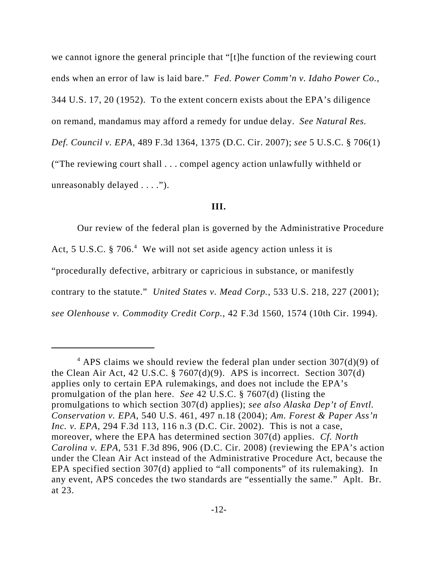we cannot ignore the general principle that "[t]he function of the reviewing court ends when an error of law is laid bare." *Fed. Power Comm'n v. Idaho Power Co.*, 344 U.S. 17, 20 (1952). To the extent concern exists about the EPA's diligence on remand, mandamus may afford a remedy for undue delay. *See Natural Res. Def. Council v. EPA*, 489 F.3d 1364, 1375 (D.C. Cir. 2007); *see* 5 U.S.C. § 706(1) ("The reviewing court shall . . . compel agency action unlawfully withheld or unreasonably delayed . . . .").

#### **III.**

Our review of the federal plan is governed by the Administrative Procedure Act, 5 U.S.C. § 706.<sup>4</sup> We will not set aside agency action unless it is "procedurally defective, arbitrary or capricious in substance, or manifestly contrary to the statute." *United States v. Mead Corp.*, 533 U.S. 218, 227 (2001); *see Olenhouse v. Commodity Credit Corp.*, 42 F.3d 1560, 1574 (10th Cir. 1994).

 $4$  APS claims we should review the federal plan under section 307(d)(9) of the Clean Air Act, 42 U.S.C.  $\S$  7607(d)(9). APS is incorrect. Section 307(d) applies only to certain EPA rulemakings, and does not include the EPA's promulgation of the plan here. *See* 42 U.S.C. § 7607(d) (listing the promulgations to which section 307(d) applies); *see also Alaska Dep't of Envtl. Conservation v. EPA*, 540 U.S. 461, 497 n.18 (2004); *Am. Forest & Paper Ass'n Inc. v. EPA*, 294 F.3d 113, 116 n.3 (D.C. Cir. 2002). This is not a case, moreover, where the EPA has determined section 307(d) applies. *Cf. North Carolina v. EPA*, 531 F.3d 896, 906 (D.C. Cir. 2008) (reviewing the EPA's action under the Clean Air Act instead of the Administrative Procedure Act, because the EPA specified section 307(d) applied to "all components" of its rulemaking). In any event, APS concedes the two standards are "essentially the same." Aplt. Br. at 23.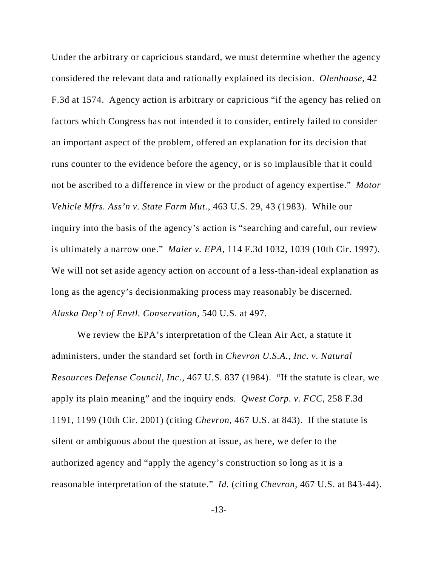Under the arbitrary or capricious standard, we must determine whether the agency considered the relevant data and rationally explained its decision. *Olenhouse*, 42 F.3d at 1574. Agency action is arbitrary or capricious "if the agency has relied on factors which Congress has not intended it to consider, entirely failed to consider an important aspect of the problem, offered an explanation for its decision that runs counter to the evidence before the agency, or is so implausible that it could not be ascribed to a difference in view or the product of agency expertise." *Motor Vehicle Mfrs. Ass'n v. State Farm Mut.*, 463 U.S. 29, 43 (1983). While our inquiry into the basis of the agency's action is "searching and careful, our review is ultimately a narrow one." *Maier v. EPA*, 114 F.3d 1032, 1039 (10th Cir. 1997). We will not set aside agency action on account of a less-than-ideal explanation as long as the agency's decisionmaking process may reasonably be discerned. *Alaska Dep't of Envtl. Conservation*, 540 U.S. at 497.

We review the EPA's interpretation of the Clean Air Act, a statute it administers, under the standard set forth in *Chevron U.S.A., Inc. v. Natural Resources Defense Council, Inc.*, 467 U.S. 837 (1984). "If the statute is clear, we apply its plain meaning" and the inquiry ends. *Qwest Corp. v. FCC*, 258 F.3d 1191, 1199 (10th Cir. 2001) (citing *Chevron*, 467 U.S. at 843). If the statute is silent or ambiguous about the question at issue, as here, we defer to the authorized agency and "apply the agency's construction so long as it is a reasonable interpretation of the statute." *Id.* (citing *Chevron*, 467 U.S. at 843-44).

-13-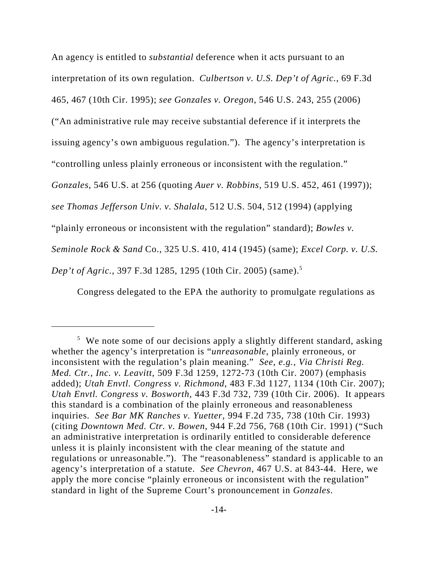An agency is entitled to *substantial* deference when it acts pursuant to an interpretation of its own regulation. *Culbertson v. U.S. Dep't of Agric.*, 69 F.3d 465, 467 (10th Cir. 1995); *see Gonzales v. Oregon*, 546 U.S. 243, 255 (2006)

("An administrative rule may receive substantial deference if it interprets the

issuing agency's own ambiguous regulation."). The agency's interpretation is

"controlling unless plainly erroneous or inconsistent with the regulation."

*Gonzales*, 546 U.S. at 256 (quoting *Auer v. Robbins*, 519 U.S. 452, 461 (1997));

*see Thomas Jefferson Univ. v. Shalala*, 512 U.S. 504, 512 (1994) (applying

"plainly erroneous or inconsistent with the regulation" standard); *Bowles v.*

*Seminole Rock & Sand* Co., 325 U.S. 410, 414 (1945) (same); *Excel Corp. v. U.S.*

*Dep't of Agric.*, 397 F.3d 1285, 1295 (10th Cir. 2005) (same).5

Congress delegated to the EPA the authority to promulgate regulations as

<sup>&</sup>lt;sup>5</sup> We note some of our decisions apply a slightly different standard, asking whether the agency's interpretation is "*unreasonable*, plainly erroneous, or inconsistent with the regulation's plain meaning." *See, e.g.*, *Via Christi Reg. Med. Ctr., Inc. v. Leavitt*, 509 F.3d 1259, 1272-73 (10th Cir. 2007) (emphasis added); *Utah Envtl. Congress v. Richmond*, 483 F.3d 1127, 1134 (10th Cir. 2007); *Utah Envtl. Congress v. Bosworth*, 443 F.3d 732, 739 (10th Cir. 2006). It appears this standard is a combination of the plainly erroneous and reasonableness inquiries. *See Bar MK Ranches v. Yuetter*, 994 F.2d 735, 738 (10th Cir. 1993) (citing *Downtown Med. Ctr. v. Bowen*, 944 F.2d 756, 768 (10th Cir. 1991) ("Such an administrative interpretation is ordinarily entitled to considerable deference unless it is plainly inconsistent with the clear meaning of the statute and regulations or unreasonable."). The "reasonableness" standard is applicable to an agency's interpretation of a statute. *See Chevron*, 467 U.S. at 843-44. Here, we apply the more concise "plainly erroneous or inconsistent with the regulation" standard in light of the Supreme Court's pronouncement in *Gonzales*.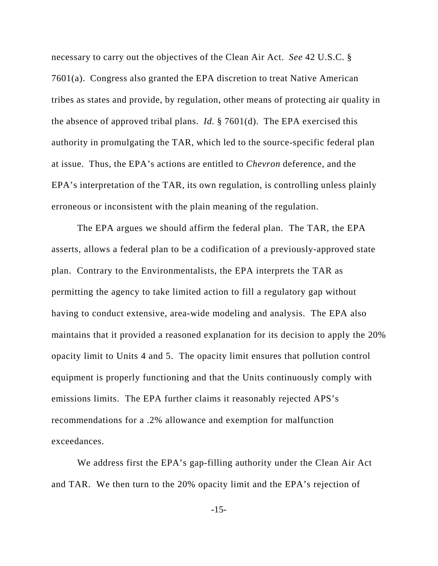necessary to carry out the objectives of the Clean Air Act. *See* 42 U.S.C. § 7601(a). Congress also granted the EPA discretion to treat Native American tribes as states and provide, by regulation, other means of protecting air quality in the absence of approved tribal plans. *Id.* § 7601(d). The EPA exercised this authority in promulgating the TAR, which led to the source-specific federal plan at issue. Thus, the EPA's actions are entitled to *Chevron* deference, and the EPA's interpretation of the TAR, its own regulation, is controlling unless plainly erroneous or inconsistent with the plain meaning of the regulation.

The EPA argues we should affirm the federal plan. The TAR, the EPA asserts, allows a federal plan to be a codification of a previously-approved state plan. Contrary to the Environmentalists, the EPA interprets the TAR as permitting the agency to take limited action to fill a regulatory gap without having to conduct extensive, area-wide modeling and analysis. The EPA also maintains that it provided a reasoned explanation for its decision to apply the 20% opacity limit to Units 4 and 5. The opacity limit ensures that pollution control equipment is properly functioning and that the Units continuously comply with emissions limits. The EPA further claims it reasonably rejected APS's recommendations for a .2% allowance and exemption for malfunction exceedances.

We address first the EPA's gap-filling authority under the Clean Air Act and TAR. We then turn to the 20% opacity limit and the EPA's rejection of

-15-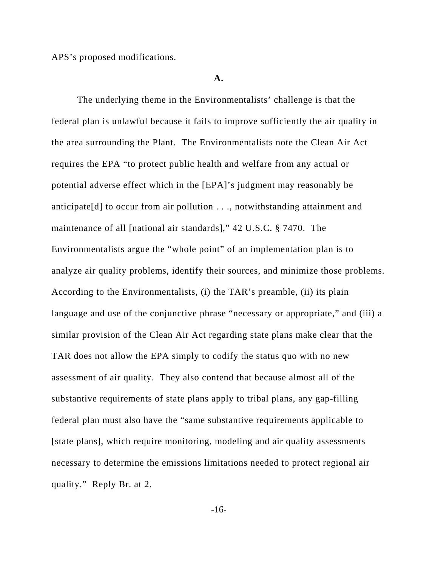APS's proposed modifications.

#### **A.**

The underlying theme in the Environmentalists' challenge is that the federal plan is unlawful because it fails to improve sufficiently the air quality in the area surrounding the Plant. The Environmentalists note the Clean Air Act requires the EPA "to protect public health and welfare from any actual or potential adverse effect which in the [EPA]'s judgment may reasonably be anticipate[d] to occur from air pollution . . ., notwithstanding attainment and maintenance of all [national air standards]," 42 U.S.C. § 7470. The Environmentalists argue the "whole point" of an implementation plan is to analyze air quality problems, identify their sources, and minimize those problems. According to the Environmentalists, (i) the TAR's preamble, (ii) its plain language and use of the conjunctive phrase "necessary or appropriate," and (iii) a similar provision of the Clean Air Act regarding state plans make clear that the TAR does not allow the EPA simply to codify the status quo with no new assessment of air quality. They also contend that because almost all of the substantive requirements of state plans apply to tribal plans, any gap-filling federal plan must also have the "same substantive requirements applicable to [state plans], which require monitoring, modeling and air quality assessments necessary to determine the emissions limitations needed to protect regional air quality." Reply Br. at 2.

-16-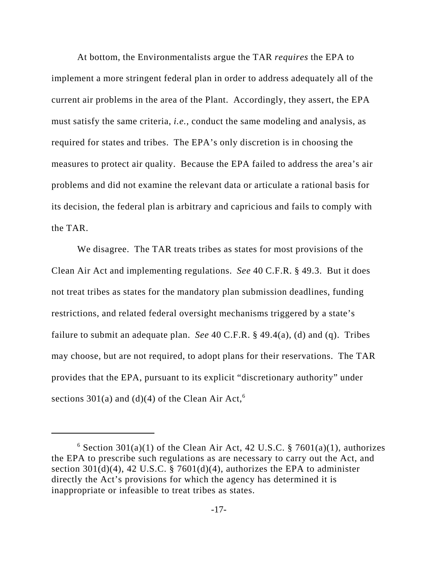At bottom, the Environmentalists argue the TAR *requires* the EPA to implement a more stringent federal plan in order to address adequately all of the current air problems in the area of the Plant. Accordingly, they assert, the EPA must satisfy the same criteria, *i.e.*, conduct the same modeling and analysis, as required for states and tribes. The EPA's only discretion is in choosing the measures to protect air quality. Because the EPA failed to address the area's air problems and did not examine the relevant data or articulate a rational basis for its decision, the federal plan is arbitrary and capricious and fails to comply with the TAR.

We disagree. The TAR treats tribes as states for most provisions of the Clean Air Act and implementing regulations. *See* 40 C.F.R. § 49.3. But it does not treat tribes as states for the mandatory plan submission deadlines, funding restrictions, and related federal oversight mechanisms triggered by a state's failure to submit an adequate plan. *See* 40 C.F.R. § 49.4(a), (d) and (q). Tribes may choose, but are not required, to adopt plans for their reservations. The TAR provides that the EPA, pursuant to its explicit "discretionary authority" under sections 301(a) and (d)(4) of the Clean Air Act,  $6\overline{ }$ 

 $6$  Section 301(a)(1) of the Clean Air Act, 42 U.S.C. § 7601(a)(1), authorizes the EPA to prescribe such regulations as are necessary to carry out the Act, and section 301(d)(4), 42 U.S.C. § 7601(d)(4), authorizes the EPA to administer directly the Act's provisions for which the agency has determined it is inappropriate or infeasible to treat tribes as states.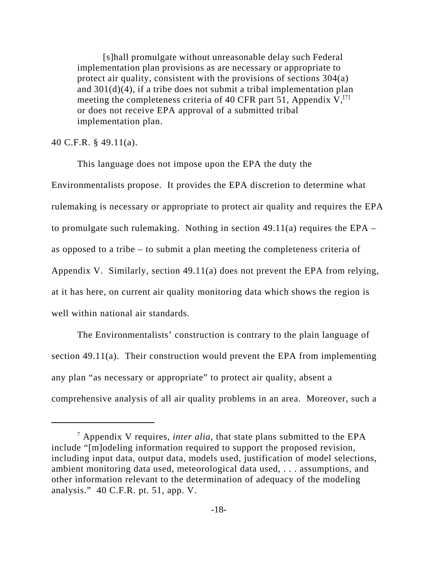[s]hall promulgate without unreasonable delay such Federal implementation plan provisions as are necessary or appropriate to protect air quality, consistent with the provisions of sections 304(a) and 301(d)(4), if a tribe does not submit a tribal implementation plan meeting the completeness criteria of 40 CFR part 51, Appendix  $V<sub>1</sub>$ <sup>[7]</sup> or does not receive EPA approval of a submitted tribal implementation plan.

#### 40 C.F.R. § 49.11(a).

This language does not impose upon the EPA the duty the Environmentalists propose. It provides the EPA discretion to determine what rulemaking is necessary or appropriate to protect air quality and requires the EPA to promulgate such rulemaking. Nothing in section  $49.11(a)$  requires the EPA – as opposed to a tribe – to submit a plan meeting the completeness criteria of Appendix V. Similarly, section 49.11(a) does not prevent the EPA from relying, at it has here, on current air quality monitoring data which shows the region is well within national air standards.

The Environmentalists' construction is contrary to the plain language of section 49.11(a). Their construction would prevent the EPA from implementing any plan "as necessary or appropriate" to protect air quality, absent a comprehensive analysis of all air quality problems in an area. Moreover, such a

<sup>7</sup> Appendix V requires, *inter alia*, that state plans submitted to the EPA include "[m]odeling information required to support the proposed revision, including input data, output data, models used, justification of model selections, ambient monitoring data used, meteorological data used, . . . assumptions, and other information relevant to the determination of adequacy of the modeling analysis." 40 C.F.R. pt. 51, app. V.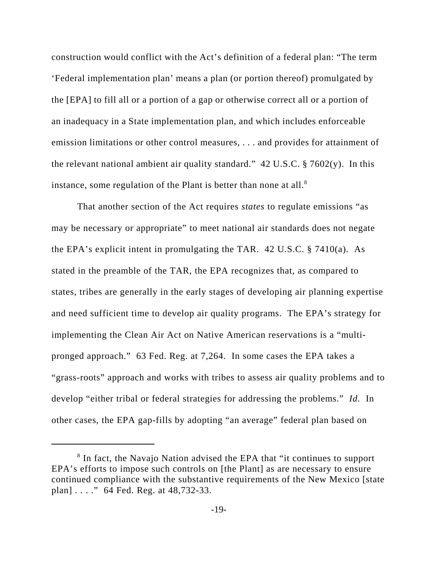construction would conflict with the Act's definition of a federal plan: "The term 'Federal implementation plan' means a plan (or portion thereof) promulgated by the [EPA] to fill all or a portion of a gap or otherwise correct all or a portion of an inadequacy in a State implementation plan, and which includes enforceable emission limitations or other control measures, . . . and provides for attainment of the relevant national ambient air quality standard." 42 U.S.C.  $\S 7602(y)$ . In this instance, some regulation of the Plant is better than none at all. $8$ 

That another section of the Act requires *states* to regulate emissions "as may be necessary or appropriate" to meet national air standards does not negate the EPA's explicit intent in promulgating the TAR. 42 U.S.C. § 7410(a). As stated in the preamble of the TAR, the EPA recognizes that, as compared to states, tribes are generally in the early stages of developing air planning expertise and need sufficient time to develop air quality programs. The EPA's strategy for implementing the Clean Air Act on Native American reservations is a "multipronged approach." 63 Fed. Reg. at 7,264. In some cases the EPA takes a "grass-roots" approach and works with tribes to assess air quality problems and to develop "either tribal or federal strategies for addressing the problems." *Id.* In other cases, the EPA gap-fills by adopting "an average" federal plan based on

<sup>&</sup>lt;sup>8</sup> In fact, the Navajo Nation advised the EPA that "it continues to support EPA's efforts to impose such controls on [the Plant] as are necessary to ensure continued compliance with the substantive requirements of the New Mexico [state plan] . . . ." 64 Fed. Reg. at 48,732-33.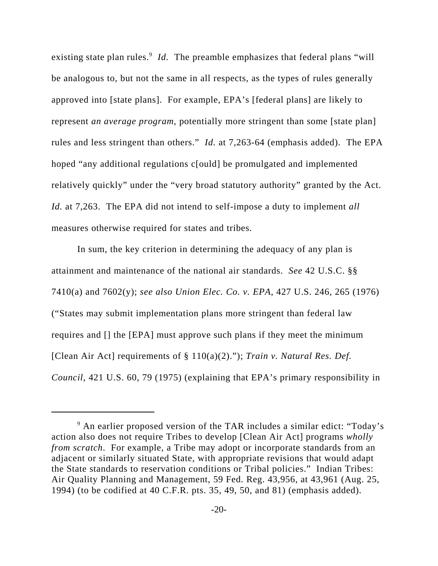existing state plan rules.<sup>9</sup> Id. The preamble emphasizes that federal plans "will be analogous to, but not the same in all respects, as the types of rules generally approved into [state plans]. For example, EPA's [federal plans] are likely to represent *an average program*, potentially more stringent than some [state plan] rules and less stringent than others." *Id.* at 7,263-64 (emphasis added). The EPA hoped "any additional regulations c[ould] be promulgated and implemented relatively quickly" under the "very broad statutory authority" granted by the Act. *Id.* at 7,263. The EPA did not intend to self-impose a duty to implement *all* measures otherwise required for states and tribes.

In sum, the key criterion in determining the adequacy of any plan is attainment and maintenance of the national air standards. *See* 42 U.S.C. §§ 7410(a) and 7602(y); *see also Union Elec. Co. v. EPA*, 427 U.S. 246, 265 (1976) ("States may submit implementation plans more stringent than federal law requires and [] the [EPA] must approve such plans if they meet the minimum [Clean Air Act] requirements of § 110(a)(2)."); *Train v. Natural Res. Def. Council*, 421 U.S. 60, 79 (1975) (explaining that EPA's primary responsibility in

<sup>&</sup>lt;sup>9</sup> An earlier proposed version of the TAR includes a similar edict: "Today's action also does not require Tribes to develop [Clean Air Act] programs *wholly from scratch*. For example, a Tribe may adopt or incorporate standards from an adjacent or similarly situated State, with appropriate revisions that would adapt the State standards to reservation conditions or Tribal policies." Indian Tribes: Air Quality Planning and Management, 59 Fed. Reg. 43,956, at 43,961 (Aug. 25, 1994) (to be codified at 40 C.F.R. pts. 35, 49, 50, and 81) (emphasis added).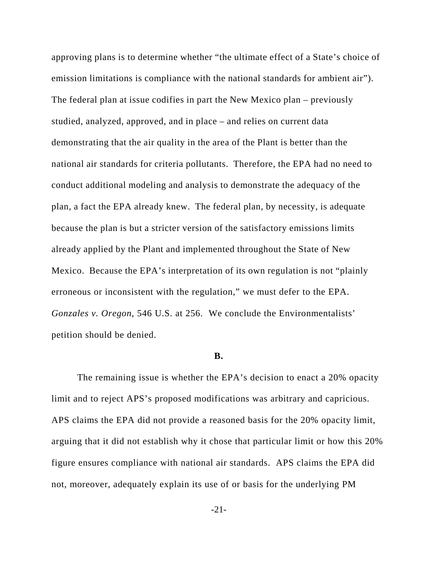approving plans is to determine whether "the ultimate effect of a State's choice of emission limitations is compliance with the national standards for ambient air"). The federal plan at issue codifies in part the New Mexico plan – previously studied, analyzed, approved, and in place – and relies on current data demonstrating that the air quality in the area of the Plant is better than the national air standards for criteria pollutants. Therefore, the EPA had no need to conduct additional modeling and analysis to demonstrate the adequacy of the plan, a fact the EPA already knew. The federal plan, by necessity, is adequate because the plan is but a stricter version of the satisfactory emissions limits already applied by the Plant and implemented throughout the State of New Mexico. Because the EPA's interpretation of its own regulation is not "plainly erroneous or inconsistent with the regulation," we must defer to the EPA. *Gonzales v. Oregon*, 546 U.S. at 256. We conclude the Environmentalists' petition should be denied.

#### **B.**

The remaining issue is whether the EPA's decision to enact a 20% opacity limit and to reject APS's proposed modifications was arbitrary and capricious. APS claims the EPA did not provide a reasoned basis for the 20% opacity limit, arguing that it did not establish why it chose that particular limit or how this 20% figure ensures compliance with national air standards. APS claims the EPA did not, moreover, adequately explain its use of or basis for the underlying PM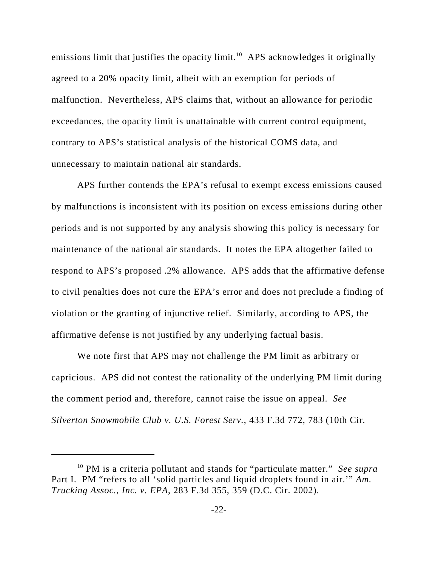emissions limit that justifies the opacity limit.<sup>10</sup> APS acknowledges it originally agreed to a 20% opacity limit, albeit with an exemption for periods of malfunction. Nevertheless, APS claims that, without an allowance for periodic exceedances, the opacity limit is unattainable with current control equipment, contrary to APS's statistical analysis of the historical COMS data, and unnecessary to maintain national air standards.

APS further contends the EPA's refusal to exempt excess emissions caused by malfunctions is inconsistent with its position on excess emissions during other periods and is not supported by any analysis showing this policy is necessary for maintenance of the national air standards. It notes the EPA altogether failed to respond to APS's proposed .2% allowance. APS adds that the affirmative defense to civil penalties does not cure the EPA's error and does not preclude a finding of violation or the granting of injunctive relief. Similarly, according to APS, the affirmative defense is not justified by any underlying factual basis.

We note first that APS may not challenge the PM limit as arbitrary or capricious. APS did not contest the rationality of the underlying PM limit during the comment period and, therefore, cannot raise the issue on appeal. *See Silverton Snowmobile Club v. U.S. Forest Serv.*, 433 F.3d 772, 783 (10th Cir.

<sup>10</sup> PM is a criteria pollutant and stands for "particulate matter." *See supra* Part I. PM "refers to all 'solid particles and liquid droplets found in air.'" *Am. Trucking Assoc., Inc. v. EPA*, 283 F.3d 355, 359 (D.C. Cir. 2002).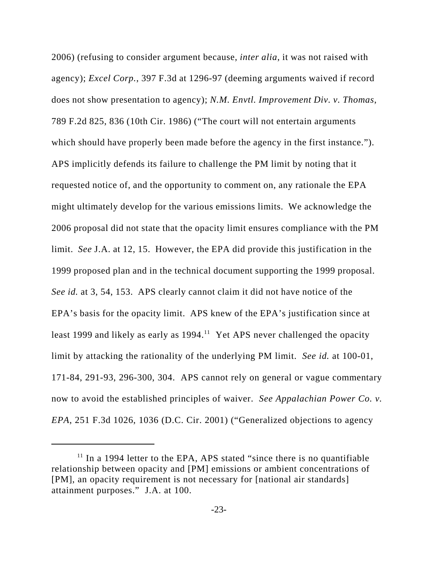2006) (refusing to consider argument because, *inter alia*, it was not raised with agency); *Excel Corp.*, 397 F.3d at 1296-97 (deeming arguments waived if record does not show presentation to agency); *N.M. Envtl. Improvement Div. v. Thomas*, 789 F.2d 825, 836 (10th Cir. 1986) ("The court will not entertain arguments which should have properly been made before the agency in the first instance."). APS implicitly defends its failure to challenge the PM limit by noting that it requested notice of, and the opportunity to comment on, any rationale the EPA might ultimately develop for the various emissions limits. We acknowledge the 2006 proposal did not state that the opacity limit ensures compliance with the PM limit. *See* J.A. at 12, 15. However, the EPA did provide this justification in the 1999 proposed plan and in the technical document supporting the 1999 proposal. *See id.* at 3, 54, 153. APS clearly cannot claim it did not have notice of the EPA's basis for the opacity limit. APS knew of the EPA's justification since at least 1999 and likely as early as  $1994<sup>11</sup>$  Yet APS never challenged the opacity limit by attacking the rationality of the underlying PM limit. *See id.* at 100-01, 171-84, 291-93, 296-300, 304. APS cannot rely on general or vague commentary now to avoid the established principles of waiver. *See Appalachian Power Co. v. EPA*, 251 F.3d 1026, 1036 (D.C. Cir. 2001) ("Generalized objections to agency

 $11$  In a 1994 letter to the EPA, APS stated "since there is no quantifiable relationship between opacity and [PM] emissions or ambient concentrations of [PM], an opacity requirement is not necessary for [national air standards] attainment purposes." J.A. at 100.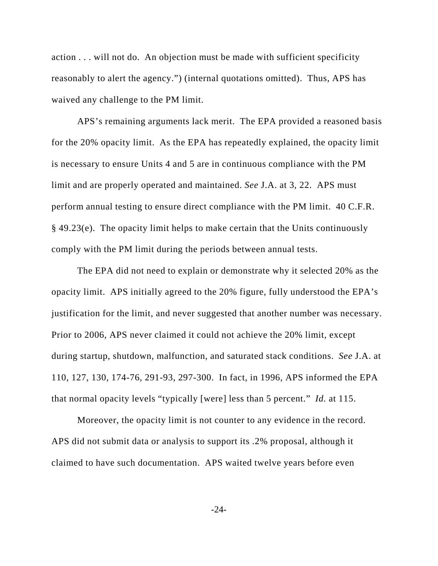action . . . will not do. An objection must be made with sufficient specificity reasonably to alert the agency.") (internal quotations omitted). Thus, APS has waived any challenge to the PM limit.

APS's remaining arguments lack merit. The EPA provided a reasoned basis for the 20% opacity limit. As the EPA has repeatedly explained, the opacity limit is necessary to ensure Units 4 and 5 are in continuous compliance with the PM limit and are properly operated and maintained. *See* J.A. at 3, 22. APS must perform annual testing to ensure direct compliance with the PM limit. 40 C.F.R. § 49.23(e). The opacity limit helps to make certain that the Units continuously comply with the PM limit during the periods between annual tests.

The EPA did not need to explain or demonstrate why it selected 20% as the opacity limit. APS initially agreed to the 20% figure, fully understood the EPA's justification for the limit, and never suggested that another number was necessary. Prior to 2006, APS never claimed it could not achieve the 20% limit, except during startup, shutdown, malfunction, and saturated stack conditions. *See* J.A. at 110, 127, 130, 174-76, 291-93, 297-300. In fact, in 1996, APS informed the EPA that normal opacity levels "typically [were] less than 5 percent." *Id.* at 115.

Moreover, the opacity limit is not counter to any evidence in the record. APS did not submit data or analysis to support its .2% proposal, although it claimed to have such documentation. APS waited twelve years before even

-24-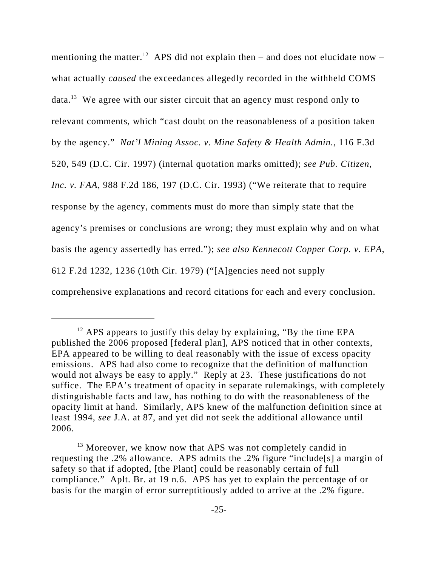mentioning the matter.<sup>12</sup> APS did not explain then – and does not elucidate now – what actually *caused* the exceedances allegedly recorded in the withheld COMS data.13 We agree with our sister circuit that an agency must respond only to relevant comments, which "cast doubt on the reasonableness of a position taken by the agency." *Nat'l Mining Assoc. v. Mine Safety & Health Admin.*, 116 F.3d 520, 549 (D.C. Cir. 1997) (internal quotation marks omitted); *see Pub. Citizen, Inc. v. FAA*, 988 F.2d 186, 197 (D.C. Cir. 1993) ("We reiterate that to require response by the agency, comments must do more than simply state that the agency's premises or conclusions are wrong; they must explain why and on what basis the agency assertedly has erred."); *see also Kennecott Copper Corp. v. EPA*, 612 F.2d 1232, 1236 (10th Cir. 1979) ("[A]gencies need not supply comprehensive explanations and record citations for each and every conclusion.

 $12$  APS appears to justify this delay by explaining, "By the time EPA published the 2006 proposed [federal plan], APS noticed that in other contexts, EPA appeared to be willing to deal reasonably with the issue of excess opacity emissions. APS had also come to recognize that the definition of malfunction would not always be easy to apply." Reply at 23. These justifications do not suffice. The EPA's treatment of opacity in separate rulemakings, with completely distinguishable facts and law, has nothing to do with the reasonableness of the opacity limit at hand. Similarly, APS knew of the malfunction definition since at least 1994, *see* J.A. at 87, and yet did not seek the additional allowance until 2006.

<sup>&</sup>lt;sup>13</sup> Moreover, we know now that APS was not completely candid in requesting the .2% allowance. APS admits the .2% figure "include[s] a margin of safety so that if adopted, [the Plant] could be reasonably certain of full compliance." Aplt. Br. at 19 n.6. APS has yet to explain the percentage of or basis for the margin of error surreptitiously added to arrive at the .2% figure.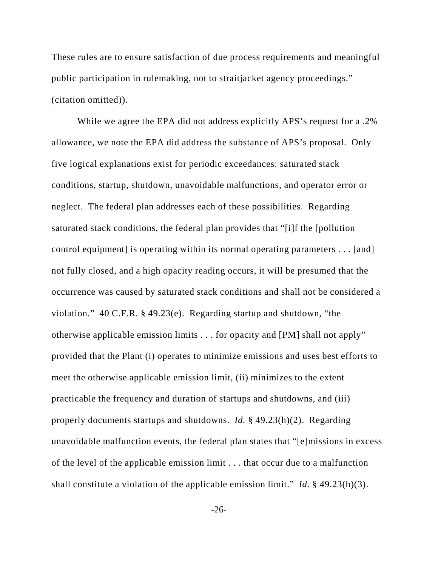These rules are to ensure satisfaction of due process requirements and meaningful public participation in rulemaking, not to straitjacket agency proceedings." (citation omitted)).

While we agree the EPA did not address explicitly APS's request for a .2% allowance, we note the EPA did address the substance of APS's proposal. Only five logical explanations exist for periodic exceedances: saturated stack conditions, startup, shutdown, unavoidable malfunctions, and operator error or neglect. The federal plan addresses each of these possibilities. Regarding saturated stack conditions, the federal plan provides that "[i]f the [pollution control equipment] is operating within its normal operating parameters . . . [and] not fully closed, and a high opacity reading occurs, it will be presumed that the occurrence was caused by saturated stack conditions and shall not be considered a violation." 40 C.F.R. § 49.23(e). Regarding startup and shutdown, "the otherwise applicable emission limits . . . for opacity and [PM] shall not apply" provided that the Plant (i) operates to minimize emissions and uses best efforts to meet the otherwise applicable emission limit, (ii) minimizes to the extent practicable the frequency and duration of startups and shutdowns, and (iii) properly documents startups and shutdowns. *Id.* § 49.23(h)(2). Regarding unavoidable malfunction events, the federal plan states that "[e]missions in excess of the level of the applicable emission limit . . . that occur due to a malfunction shall constitute a violation of the applicable emission limit." *Id.* § 49.23(h)(3).

-26-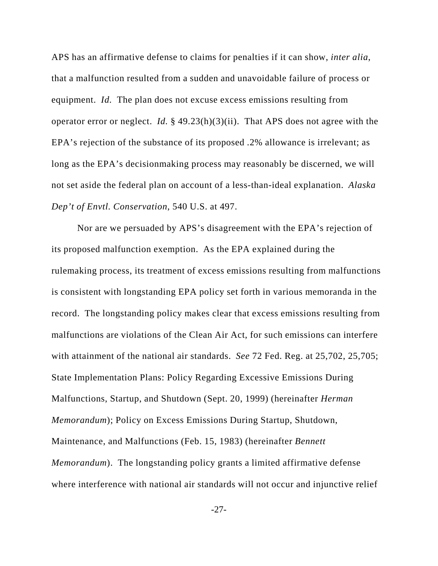APS has an affirmative defense to claims for penalties if it can show, *inter alia*, that a malfunction resulted from a sudden and unavoidable failure of process or equipment. *Id.* The plan does not excuse excess emissions resulting from operator error or neglect. *Id.* § 49.23(h)(3)(ii). That APS does not agree with the EPA's rejection of the substance of its proposed .2% allowance is irrelevant; as long as the EPA's decisionmaking process may reasonably be discerned, we will not set aside the federal plan on account of a less-than-ideal explanation. *Alaska Dep't of Envtl. Conservation*, 540 U.S. at 497.

Nor are we persuaded by APS's disagreement with the EPA's rejection of its proposed malfunction exemption. As the EPA explained during the rulemaking process, its treatment of excess emissions resulting from malfunctions is consistent with longstanding EPA policy set forth in various memoranda in the record. The longstanding policy makes clear that excess emissions resulting from malfunctions are violations of the Clean Air Act, for such emissions can interfere with attainment of the national air standards. *See* 72 Fed. Reg. at 25,702, 25,705; State Implementation Plans: Policy Regarding Excessive Emissions During Malfunctions, Startup, and Shutdown (Sept. 20, 1999) (hereinafter *Herman Memorandum*); Policy on Excess Emissions During Startup, Shutdown, Maintenance, and Malfunctions (Feb. 15, 1983) (hereinafter *Bennett Memorandum*). The longstanding policy grants a limited affirmative defense where interference with national air standards will not occur and injunctive relief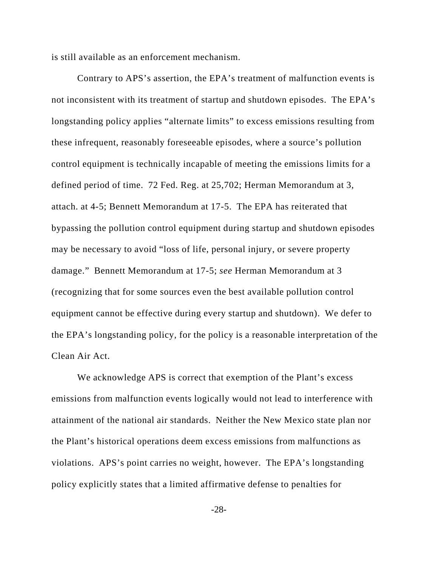is still available as an enforcement mechanism.

Contrary to APS's assertion, the EPA's treatment of malfunction events is not inconsistent with its treatment of startup and shutdown episodes. The EPA's longstanding policy applies "alternate limits" to excess emissions resulting from these infrequent, reasonably foreseeable episodes, where a source's pollution control equipment is technically incapable of meeting the emissions limits for a defined period of time. 72 Fed. Reg. at 25,702; Herman Memorandum at 3, attach. at 4-5; Bennett Memorandum at 17-5. The EPA has reiterated that bypassing the pollution control equipment during startup and shutdown episodes may be necessary to avoid "loss of life, personal injury, or severe property damage." Bennett Memorandum at 17-5; *see* Herman Memorandum at 3 (recognizing that for some sources even the best available pollution control equipment cannot be effective during every startup and shutdown). We defer to the EPA's longstanding policy, for the policy is a reasonable interpretation of the Clean Air Act.

We acknowledge APS is correct that exemption of the Plant's excess emissions from malfunction events logically would not lead to interference with attainment of the national air standards. Neither the New Mexico state plan nor the Plant's historical operations deem excess emissions from malfunctions as violations. APS's point carries no weight, however. The EPA's longstanding policy explicitly states that a limited affirmative defense to penalties for

-28-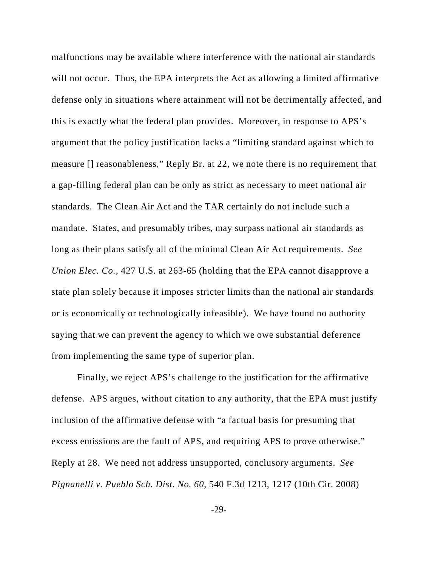malfunctions may be available where interference with the national air standards will not occur. Thus, the EPA interprets the Act as allowing a limited affirmative defense only in situations where attainment will not be detrimentally affected, and this is exactly what the federal plan provides. Moreover, in response to APS's argument that the policy justification lacks a "limiting standard against which to measure [] reasonableness," Reply Br. at 22, we note there is no requirement that a gap-filling federal plan can be only as strict as necessary to meet national air standards. The Clean Air Act and the TAR certainly do not include such a mandate. States, and presumably tribes, may surpass national air standards as long as their plans satisfy all of the minimal Clean Air Act requirements. *See Union Elec. Co.*, 427 U.S. at 263-65 (holding that the EPA cannot disapprove a state plan solely because it imposes stricter limits than the national air standards or is economically or technologically infeasible). We have found no authority saying that we can prevent the agency to which we owe substantial deference from implementing the same type of superior plan.

Finally, we reject APS's challenge to the justification for the affirmative defense. APS argues, without citation to any authority, that the EPA must justify inclusion of the affirmative defense with "a factual basis for presuming that excess emissions are the fault of APS, and requiring APS to prove otherwise." Reply at 28. We need not address unsupported, conclusory arguments. *See Pignanelli v. Pueblo Sch. Dist. No. 60*, 540 F.3d 1213, 1217 (10th Cir. 2008)

-29-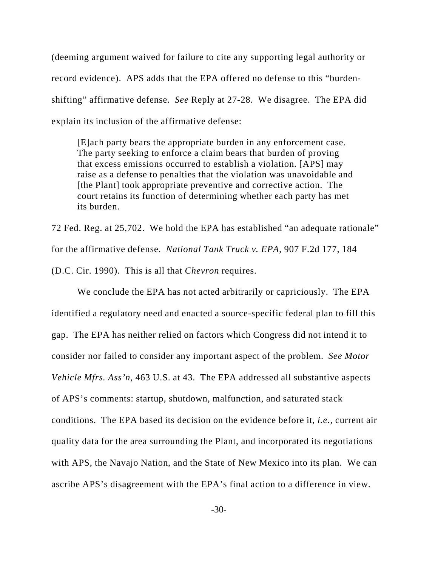(deeming argument waived for failure to cite any supporting legal authority or record evidence). APS adds that the EPA offered no defense to this "burdenshifting" affirmative defense. *See* Reply at 27-28. We disagree. The EPA did explain its inclusion of the affirmative defense:

[E]ach party bears the appropriate burden in any enforcement case. The party seeking to enforce a claim bears that burden of proving that excess emissions occurred to establish a violation. [APS] may raise as a defense to penalties that the violation was unavoidable and [the Plant] took appropriate preventive and corrective action. The court retains its function of determining whether each party has met its burden.

72 Fed. Reg. at 25,702. We hold the EPA has established "an adequate rationale" for the affirmative defense. *National Tank Truck v. EPA*, 907 F.2d 177, 184 (D.C. Cir. 1990). This is all that *Chevron* requires.

We conclude the EPA has not acted arbitrarily or capriciously. The EPA identified a regulatory need and enacted a source-specific federal plan to fill this gap. The EPA has neither relied on factors which Congress did not intend it to consider nor failed to consider any important aspect of the problem. *See Motor Vehicle Mfrs. Ass'n*, 463 U.S. at 43. The EPA addressed all substantive aspects of APS's comments: startup, shutdown, malfunction, and saturated stack conditions. The EPA based its decision on the evidence before it, *i.e.*, current air quality data for the area surrounding the Plant, and incorporated its negotiations with APS, the Navajo Nation, and the State of New Mexico into its plan. We can ascribe APS's disagreement with the EPA's final action to a difference in view.